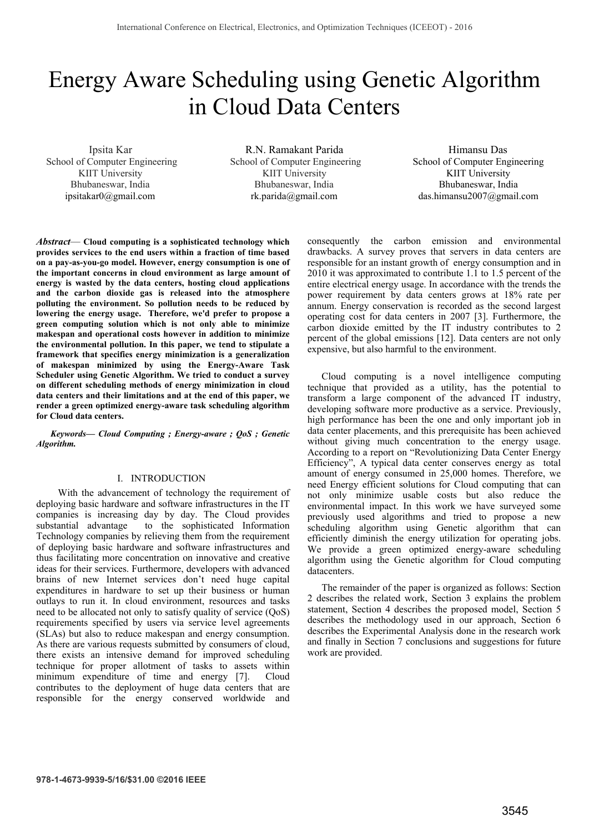# Energy Aware Scheduling using Genetic Algorithm in Cloud Data Centers

Ipsita Kar School of Computer Engineering KIIT University Bhubaneswar, India ipsitakar0@gmail.com

R.N. Ramakant Parida School of Computer Engineering KIIT University Bhubaneswar, India rk.parida@gmail.com

Himansu Das School of Computer Engineering KIIT University Bhubaneswar, India das.himansu2007@gmail.com

*Abstract*— **Cloud computing is a sophisticated technology which provides services to the end users within a fraction of time based on a pay-as-you-go model. However, energy consumption is one of the important concerns in cloud environment as large amount of energy is wasted by the data centers, hosting cloud applications and the carbon dioxide gas is released into the atmosphere polluting the environment. So pollution needs to be reduced by lowering the energy usage. Therefore, we'd prefer to propose a green computing solution which is not only able to minimize makespan and operational costs however in addition to minimize the environmental pollution. In this paper, we tend to stipulate a framework that specifies energy minimization is a generalization of makespan minimized by using the Energy-Aware Task Scheduler using Genetic Algorithm. We tried to conduct a survey on different scheduling methods of energy minimization in cloud data centers and their limitations and at the end of this paper, we render a green optimized energy-aware task scheduling algorithm for Cloud data centers.** 

*Keywords— Cloud Computing ; Energy-aware ; QoS ; Genetic Algorithm.* 

## I. INTRODUCTION

 With the advancement of technology the requirement of deploying basic hardware and software infrastructures in the IT companies is increasing day by day. The Cloud provides substantial advantage to the sophisticated Information Technology companies by relieving them from the requirement of deploying basic hardware and software infrastructures and thus facilitating more concentration on innovative and creative ideas for their services. Furthermore, developers with advanced brains of new Internet services don't need huge capital expenditures in hardware to set up their business or human outlays to run it. In cloud environment, resources and tasks need to be allocated not only to satisfy quality of service (QoS) requirements specified by users via service level agreements (SLAs) but also to reduce makespan and energy consumption. As there are various requests submitted by consumers of cloud, there exists an intensive demand for improved scheduling technique for proper allotment of tasks to assets within minimum expenditure of time and energy [7]. Cloud contributes to the deployment of huge data centers that are responsible for the energy conserved worldwide and

consequently the carbon emission and environmental drawbacks. A survey proves that servers in data centers are responsible for an instant growth of energy consumption and in 2010 it was approximated to contribute 1.1 to 1.5 percent of the entire electrical energy usage. In accordance with the trends the power requirement by data centers grows at 18% rate per annum. Energy conservation is recorded as the second largest operating cost for data centers in 2007 [3]. Furthermore, the carbon dioxide emitted by the IT industry contributes to 2 percent of the global emissions [12]. Data centers are not only expensive, but also harmful to the environment.

Cloud computing is a novel intelligence computing technique that provided as a utility, has the potential to transform a large component of the advanced IT industry, developing software more productive as a service. Previously, high performance has been the one and only important job in data center placements, and this prerequisite has been achieved without giving much concentration to the energy usage. According to a report on "Revolutionizing Data Center Energy Efficiency", A typical data center conserves energy as total amount of energy consumed in 25,000 homes. Therefore, we need Energy efficient solutions for Cloud computing that can not only minimize usable costs but also reduce the environmental impact. In this work we have surveyed some previously used algorithms and tried to propose a new scheduling algorithm using Genetic algorithm that can efficiently diminish the energy utilization for operating jobs. We provide a green optimized energy-aware scheduling algorithm using the Genetic algorithm for Cloud computing datacenters.

The remainder of the paper is organized as follows: Section 2 describes the related work, Section 3 explains the problem statement, Section 4 describes the proposed model, Section 5 describes the methodology used in our approach, Section 6 describes the Experimental Analysis done in the research work and finally in Section 7 conclusions and suggestions for future work are provided.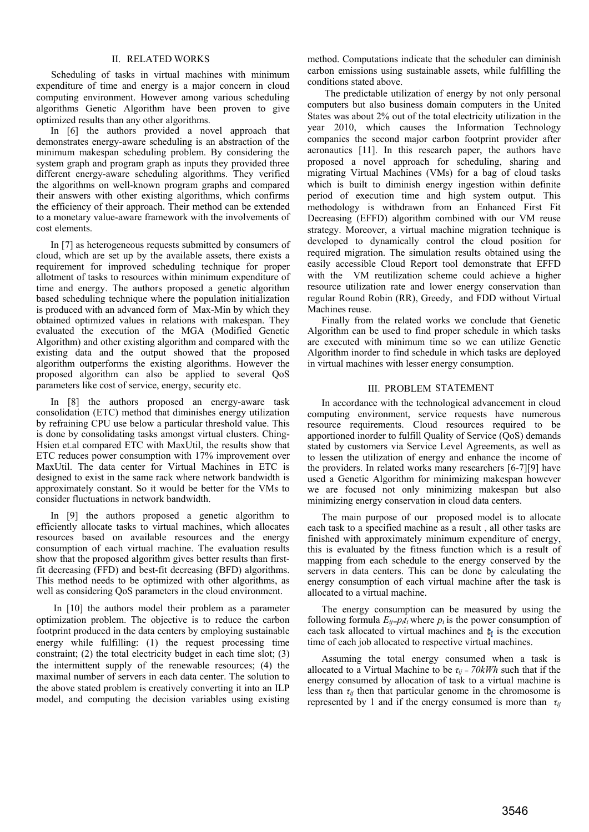# II. RELATED WORKS

 Scheduling of tasks in virtual machines with minimum expenditure of time and energy is a major concern in cloud computing environment. However among various scheduling algorithms Genetic Algorithm have been proven to give optimized results than any other algorithms.

 In [6] the authors provided a novel approach that demonstrates energy-aware scheduling is an abstraction of the minimum makespan scheduling problem. By considering the system graph and program graph as inputs they provided three different energy-aware scheduling algorithms. They verified the algorithms on well-known program graphs and compared their answers with other existing algorithms, which confirms the efficiency of their approach. Their method can be extended to a monetary value-aware framework with the involvements of cost elements.

 In [7] as heterogeneous requests submitted by consumers of cloud, which are set up by the available assets, there exists a requirement for improved scheduling technique for proper allotment of tasks to resources within minimum expenditure of time and energy. The authors proposed a genetic algorithm based scheduling technique where the population initialization is produced with an advanced form of Max-Min by which they obtained optimized values in relations with makespan. They evaluated the execution of the MGA (Modified Genetic Algorithm) and other existing algorithm and compared with the existing data and the output showed that the proposed algorithm outperforms the existing algorithms. However the proposed algorithm can also be applied to several QoS parameters like cost of service, energy, security etc.

 In [8] the authors proposed an energy-aware task consolidation (ETC) method that diminishes energy utilization by refraining CPU use below a particular threshold value. This is done by consolidating tasks amongst virtual clusters. Ching-Hsien et.al compared ETC with MaxUtil, the results show that ETC reduces power consumption with 17% improvement over MaxUtil. The data center for Virtual Machines in ETC is designed to exist in the same rack where network bandwidth is approximately constant. So it would be better for the VMs to consider fluctuations in network bandwidth.

 In [9] the authors proposed a genetic algorithm to efficiently allocate tasks to virtual machines, which allocates resources based on available resources and the energy consumption of each virtual machine. The evaluation results show that the proposed algorithm gives better results than firstfit decreasing (FFD) and best-fit decreasing (BFD) algorithms. This method needs to be optimized with other algorithms, as well as considering QoS parameters in the cloud environment.

 In [10] the authors model their problem as a parameter optimization problem. The objective is to reduce the carbon footprint produced in the data centers by employing sustainable energy while fulfilling: (1) the request processing time constraint; (2) the total electricity budget in each time slot; (3) the intermittent supply of the renewable resources; (4) the maximal number of servers in each data center. The solution to the above stated problem is creatively converting it into an ILP model, and computing the decision variables using existing method. Computations indicate that the scheduler can diminish carbon emissions using sustainable assets, while fulfilling the conditions stated above.

 The predictable utilization of energy by not only personal computers but also business domain computers in the United States was about 2% out of the total electricity utilization in the year 2010, which causes the Information Technology companies the second major carbon footprint provider after aeronautics [11]. In this research paper, the authors have proposed a novel approach for scheduling, sharing and migrating Virtual Machines (VMs) for a bag of cloud tasks which is built to diminish energy ingestion within definite period of execution time and high system output. This methodology is withdrawn from an Enhanced First Fit Decreasing (EFFD) algorithm combined with our VM reuse strategy. Moreover, a virtual machine migration technique is developed to dynamically control the cloud position for required migration. The simulation results obtained using the easily accessible Cloud Report tool demonstrate that EFFD with the VM reutilization scheme could achieve a higher resource utilization rate and lower energy conservation than regular Round Robin (RR), Greedy, and FDD without Virtual Machines reuse.

 Finally from the related works we conclude that Genetic Algorithm can be used to find proper schedule in which tasks are executed with minimum time so we can utilize Genetic Algorithm inorder to find schedule in which tasks are deployed in virtual machines with lesser energy consumption.

### III. PROBLEM STATEMENT

 In accordance with the technological advancement in cloud computing environment, service requests have numerous resource requirements. Cloud resources required to be apportioned inorder to fulfill Quality of Service (QoS) demands stated by customers via Service Level Agreements, as well as to lessen the utilization of energy and enhance the income of the providers. In related works many researchers [6-7][9] have used a Genetic Algorithm for minimizing makespan however we are focused not only minimizing makespan but also minimizing energy conservation in cloud data centers.

 The main purpose of our proposed model is to allocate each task to a specified machine as a result , all other tasks are finished with approximately minimum expenditure of energy, this is evaluated by the fitness function which is a result of mapping from each schedule to the energy conserved by the servers in data centers. This can be done by calculating the energy consumption of each virtual machine after the task is allocated to a virtual machine.

 The energy consumption can be measured by using the following formula  $E_{ij}=p_it_i$  where  $p_i$  is the power consumption of each task allocated to virtual machines and  $t_i$  is the execution time of each job allocated to respective virtual machines.

Assuming the total energy consumed when a task is allocated to a Virtual Machine to be  $\tau_{ij} = 70kWh$  such that if the energy consumed by allocation of task to a virtual machine is less than  $\tau_{ij}$  then that particular genome in the chromosome is represented by 1 and if the energy consumed is more than  $\tau_{ij}$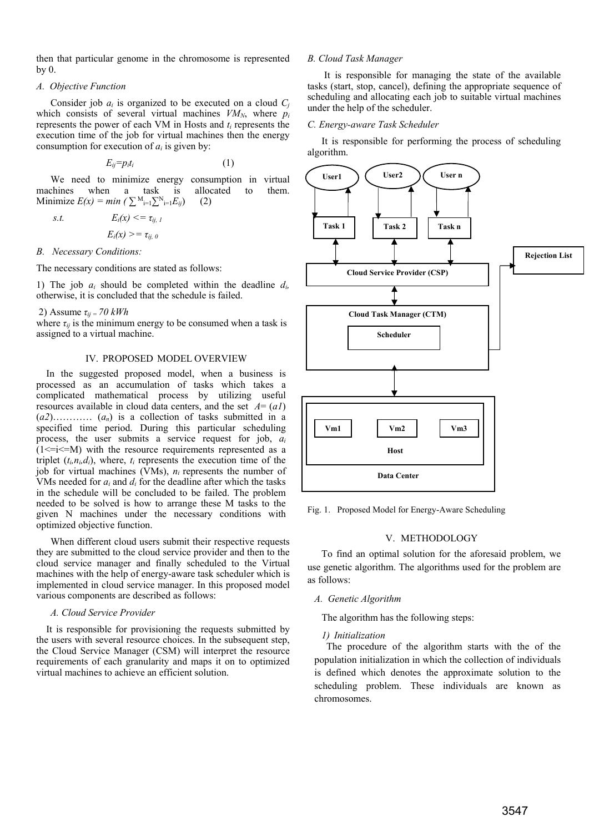then that particular genome in the chromosome is represented by 0.

# *A. Objective Function*

Consider job  $a_i$  is organized to be executed on a cloud  $C_i$ which consists of several virtual machines  $VM_N$ , where  $p_i$ represents the power of each VM in Hosts and *ti* represents the execution time of the job for virtual machines then the energy consumption for execution of *ai* is given by:

$$
E_{ij} = p_i t_i \tag{1}
$$

 We need to minimize energy consumption in virtual machines when a task is allocated to them. Minimize  $E(x) = min \left( \sum_{i=1}^{M} \sum_{i=1}^{N} E_{ij} \right)$  (2)

*s.t.*  $E_i(x) \leq \tau_{ii, 1}$  $E_i(x) \geq \tau_{ii,0}$ 

#### *B. Necessary Conditions:*

The necessary conditions are stated as follows:

1) The job *ai* should be completed within the deadline *di,* otherwise, it is concluded that the schedule is failed.

#### 2) Assume  $\tau_{ii}$  = 70 kWh

where  $\tau_{ij}$  is the minimum energy to be consumed when a task is assigned to a virtual machine.

#### IV. PROPOSED MODEL OVERVIEW

 In the suggested proposed model, when a business is processed as an accumulation of tasks which takes a complicated mathematical process by utilizing useful resources available in cloud data centers, and the set  $A = (aI)$  $(a_2)$ …………  $(a_n)$  is a collection of tasks submitted in a specified time period. During this particular scheduling process, the user submits a service request for job, *ai*  $(1 \le i \le M)$  with the resource requirements represented as a triplet  $(t_i, n_i, d_i)$ , where,  $t_i$  represents the execution time of the job for virtual machines (VMs), *ni* represents the number of VMs needed for *ai* and *di* for the deadline after which the tasks in the schedule will be concluded to be failed. The problem needed to be solved is how to arrange these M tasks to the given N machines under the necessary conditions with optimized objective function.

When different cloud users submit their respective requests they are submitted to the cloud service provider and then to the cloud service manager and finally scheduled to the Virtual machines with the help of energy-aware task scheduler which is implemented in cloud service manager. In this proposed model various components are described as follows:

## *A. Cloud Service Provider*

 It is responsible for provisioning the requests submitted by the users with several resource choices. In the subsequent step, the Cloud Service Manager (CSM) will interpret the resource requirements of each granularity and maps it on to optimized virtual machines to achieve an efficient solution.

## *B. Cloud Task Manager*

 It is responsible for managing the state of the available tasks (start, stop, cancel), defining the appropriate sequence of scheduling and allocating each job to suitable virtual machines under the help of the scheduler.

# *C. Energy-aware Task Scheduler*

It is responsible for performing the process of scheduling algorithm.



Fig. 1. Proposed Model for Energy-Aware Scheduling

# V. METHODOLOGY

To find an optimal solution for the aforesaid problem, we use genetic algorithm. The algorithms used for the problem are as follows:

# *A. Genetic Algorithm*

The algorithm has the following steps:

# *1) Initialization*

 The procedure of the algorithm starts with the of the population initialization in which the collection of individuals is defined which denotes the approximate solution to the scheduling problem. These individuals are known as chromosomes.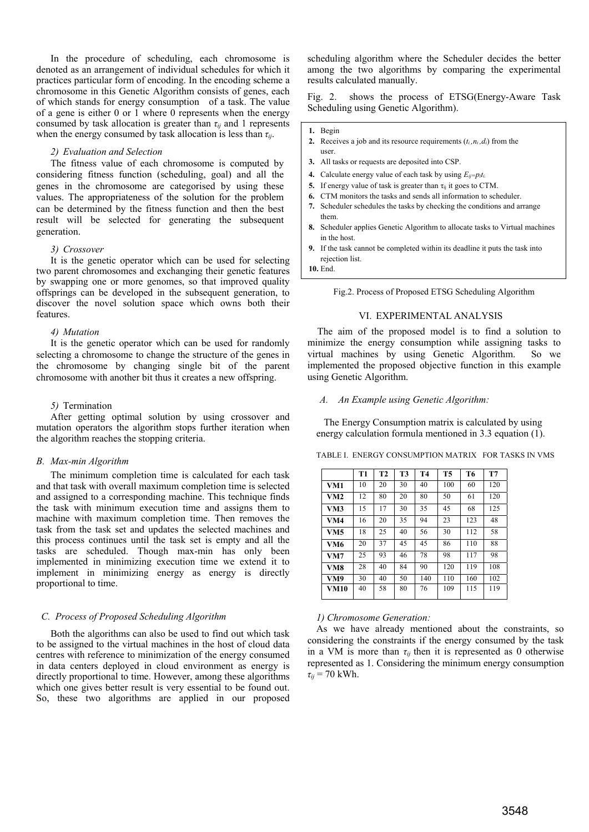In the procedure of scheduling, each chromosome is denoted as an arrangement of individual schedules for which it practices particular form of encoding. In the encoding scheme a chromosome in this Genetic Algorithm consists of genes, each of which stands for energy consumption of a task. The value of a gene is either 0 or 1 where 0 represents when the energy consumed by task allocation is greater than  $\tau_{ij}$  and 1 represents when the energy consumed by task allocation is less than  $\tau_{ij}$ .

## *2) Evaluation and Selection*

 The fitness value of each chromosome is computed by considering fitness function (scheduling, goal) and all the genes in the chromosome are categorised by using these values. The appropriateness of the solution for the problem can be determined by the fitness function and then the best result will be selected for generating the subsequent generation.

#### *3) Crossover*

 It is the genetic operator which can be used for selecting two parent chromosomes and exchanging their genetic features by swapping one or more genomes, so that improved quality offsprings can be developed in the subsequent generation, to discover the novel solution space which owns both their features.

#### *4) Mutation*

It is the genetic operator which can be used for randomly selecting a chromosome to change the structure of the genes in the chromosome by changing single bit of the parent chromosome with another bit thus it creates a new offspring.

#### *5)* Termination

 After getting optimal solution by using crossover and mutation operators the algorithm stops further iteration when the algorithm reaches the stopping criteria.

## *B. Max-min Algorithm*

 The minimum completion time is calculated for each task and that task with overall maximum completion time is selected and assigned to a corresponding machine. This technique finds the task with minimum execution time and assigns them to machine with maximum completion time. Then removes the task from the task set and updates the selected machines and this process continues until the task set is empty and all the tasks are scheduled. Though max-min has only been implemented in minimizing execution time we extend it to implement in minimizing energy as energy is directly proportional to time.

## *C. Process of Proposed Scheduling Algorithm*

 Both the algorithms can also be used to find out which task to be assigned to the virtual machines in the host of cloud data centres with reference to minimization of the energy consumed in data centers deployed in cloud environment as energy is directly proportional to time. However, among these algorithms which one gives better result is very essential to be found out. So, these two algorithms are applied in our proposed

scheduling algorithm where the Scheduler decides the better among the two algorithms by comparing the experimental results calculated manually.

Fig. 2. shows the process of ETSG(Energy-Aware Task Scheduling using Genetic Algorithm).

**1.** Begin

- **2.** Receives a job and its resource requirements  $(t_i, n_i, d_i)$  from the user.
- **3.** All tasks or requests are deposited into CSP.
- **4.** Calculate energy value of each task by using  $E_{ij}=p_it_i$ .
- **5.** If energy value of task is greater than  $\tau_{ii}$  it goes to CTM.
- **6.** CTM monitors the tasks and sends all information to scheduler.
- **7.** Scheduler schedules the tasks by checking the conditions and arrange them.
- **8.** Scheduler applies Genetic Algorithm to allocate tasks to Virtual machines in the host.
- **9.** If the task cannot be completed within its deadline it puts the task into rejection list.

**10.** End.

Fig.2. Process of Proposed ETSG Scheduling Algorithm

# VI. EXPERIMENTAL ANALYSIS

 The aim of the proposed model is to find a solution to minimize the energy consumption while assigning tasks to virtual machines by using Genetic Algorithm. So we implemented the proposed objective function in this example using Genetic Algorithm.

*A.**An Example using Genetic Algorithm:* 

 The Energy Consumption matrix is calculated by using energy calculation formula mentioned in 3.3 equation (1).

TABLE I. ENERGY CONSUMPTION MATRIX FOR TASKS IN VMS

|                 | T1 | T <sub>2</sub> | T3 | <b>T4</b> | T <sub>5</sub> | T6  | T7  |
|-----------------|----|----------------|----|-----------|----------------|-----|-----|
| VM1             | 10 | 20             | 30 | 40        | 100            | 60  | 120 |
| VM <sub>2</sub> | 12 | 80             | 20 | 80        | 50             | 61  | 120 |
| VM3             | 15 | 17             | 30 | 35        | 45             | 68  | 125 |
| VM4             | 16 | 20             | 35 | 94        | 23             | 123 | 48  |
| VM5             | 18 | 25             | 40 | 56        | 30             | 112 | 58  |
| VM6             | 20 | 37             | 45 | 45        | 86             | 110 | 88  |
| VM7             | 25 | 93             | 46 | 78        | 98             | 117 | 98  |
| VM8             | 28 | 40             | 84 | 90        | 120            | 119 | 108 |
| VM9             | 30 | 40             | 50 | 140       | 110            | 160 | 102 |
| <b>VM10</b>     | 40 | 58             | 80 | 76        | 109            | 115 | 119 |

## *1) Chromosome Generation:*

As we have already mentioned about the constraints, so considering the constraints if the energy consumed by the task in a VM is more than  $\tau_{ii}$  then it is represented as 0 otherwise represented as 1. Considering the minimum energy consumption  $\tau_{ii}$  = 70 kWh.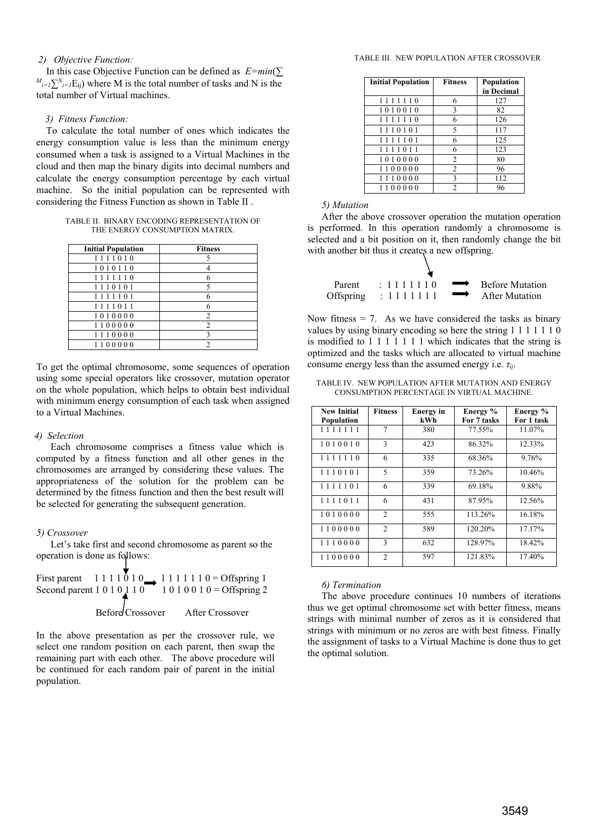# *2) Objective Function:*

In this case Objective Function can be defined as  $E = min(\sum E)^2$  $M_{i=1}\sum_{i=1}^{N}E_{ij}$ ) where M is the total number of tasks and N is the total number of Virtual machines.

#### *3) Fitness Function:*

To calculate the total number of ones which indicates the energy consumption value is less than the minimum energy consumed when a task is assigned to a Virtual Machines in the cloud and then map the binary digits into decimal numbers and calculate the energy consumption percentage by each virtual machine. So the initial population can be represented with considering the Fitness Function as shown in Table II .

TABLE II. BINARY ENCODING REPRESENTATION OF THE ENERGY CONSUMPTION MATRIX.

| <b>Initial Population</b> | <b>Fitness</b> |
|---------------------------|----------------|
| 1111010                   |                |
| 1010110                   |                |
| 1111110                   |                |
| 1110101                   |                |
| 1111101                   |                |
| 1111011                   |                |
| 1010000                   | $\overline{c}$ |
| 1100000                   | $\mathfrak{D}$ |
| 1110000                   |                |
| 1100000                   |                |

To get the optimal chromosome, some sequences of operation using some special operators like crossover, mutation operator on the whole population, which helps to obtain best individual with minimum energy consumption of each task when assigned to a Virtual Machines.

### *4) Selection*

 Each chromosome comprises a fitness value which is computed by a fitness function and all other genes in the chromosomes are arranged by considering these values. The appropriateness of the solution for the problem can be determined by the fitness function and then the best result will be selected for generating the subsequent generation.

## *5) Crossover*

Let's take first and second chromosome as parent so the operation is done as follows:

First parent 
$$
1\ 1\ 1\ 1\ 0\ 1\ 0
$$
  $\longrightarrow$   $1\ 1\ 1\ 1\ 1\ 1\ 0 = \text{Offspring 1}$   
Second parent  $1\ 0\ 1\ 0\ 1\ 1\ 0$   $1\ 0\ 1\ 0\ 0\ 1\ 0 = \text{Offspring 2}$   
Before Crossover After Crossover

In the above presentation as per the crossover rule, we select one random position on each parent, then swap the remaining part with each other. The above procedure will be continued for each random pair of parent in the initial population.

#### TABLE III. NEW POPULATION AFTER CROSSOVER

| <b>Initial Population</b> | <b>Fitness</b> | <b>Population</b><br>in Decimal |
|---------------------------|----------------|---------------------------------|
| 1111110                   | 6              | 127                             |
| 1010010                   | 3              | 82                              |
| 1111110                   | 6              | 126                             |
| 1110101                   | 5              | 117                             |
| 1111101                   | 6              | 125                             |
| 1111011                   | 6              | 123                             |
| 1010000                   | $\overline{c}$ | 80                              |
| 1100000                   | $\overline{c}$ | 96                              |
| 1110000                   | 3              | 112                             |
| 1100000                   | $\mathfrak{D}$ | 96                              |

## *5) Mutation*

After the above crossover operation the mutation operation is performed. In this operation randomly a chromosome is selected and a bit position on it, then randomly change the bit with another bit thus it creates a new offspring.

| Parent | $\div 1111110$        | $\rightarrow$ Before Mutation |
|--------|-----------------------|-------------------------------|
|        | Offspring : $1111111$ | After Mutation                |

Now fitness  $= 7$ . As we have considered the tasks as binary values by using binary encoding so here the string 1 1 1 1 1 1 0 is modified to  $1\ 1\ 1\ 1\ 1\ 1$  which indicates that the string is optimized and the tasks which are allocated to virtual machine consume energy less than the assumed energy i.e.  $\tau_{ii}$ .

|  |  | TABLE IV. NEW POPULATION AFTER MUTATION AND ENERGY |  |
|--|--|----------------------------------------------------|--|
|  |  | CONSUMPTION PERCENTAGE IN VIRTUAL MACHINE.         |  |

| <b>New Initial</b> | <b>Fitness</b>           | <b>Energy</b> in | Energy %    | Energy %   |
|--------------------|--------------------------|------------------|-------------|------------|
| Population         |                          | kWh              | For 7 tasks | For 1 task |
| 1111111            | 7                        | 380              | 77.55%      | 11.07%     |
| 1010010            | $\mathbf{3}$             | 423              | 86.32%      | 12.33%     |
| 1111110            | 6                        | 335              | 68.36%      | 9.76%      |
| 1110101            | $\overline{\phantom{0}}$ | 359              | 73.26%      | 10.46%     |
| 1111101            | 6                        | 339              | 69.18%      | 9.88%      |
| 1111011            | 6                        | 431              | 87.95%      | 12.56%     |
| 1010000            | $\overline{2}$           | 555              | 113.26%     | 16.18%     |
| 1100000            | 2                        | 589              | 120.20%     | 17.17%     |
| 1110000            | $\mathbf{3}$             | 632              | 128.97%     | 18.42%     |
| 1100000            | $\mathfrak{D}$           | 597              | 121.83%     | 17.40%     |

#### *6) Termination*

The above procedure continues 10 numbers of iterations thus we get optimal chromosome set with better fitness, means strings with minimal number of zeros as it is considered that strings with minimum or no zeros are with best fitness. Finally the assignment of tasks to a Virtual Machine is done thus to get the optimal solution.